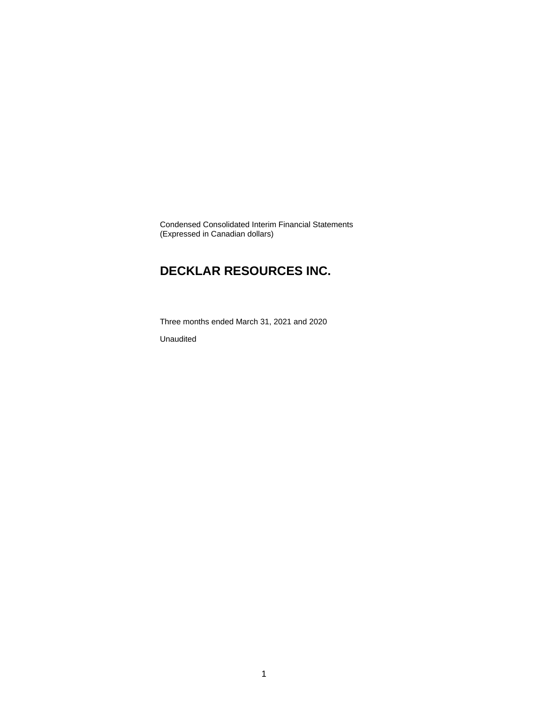Condensed Consolidated Interim Financial Statements (Expressed in Canadian dollars)

# **DECKLAR RESOURCES INC.**

Three months ended March 31, 2021 and 2020

Unaudited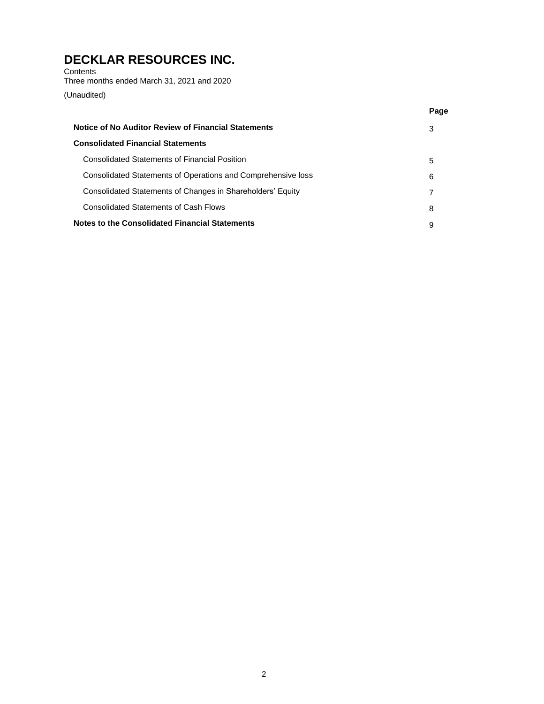**Contents** Three months ended March 31, 2021 and 2020

(Unaudited)

|                                                              | Page |
|--------------------------------------------------------------|------|
| Notice of No Auditor Review of Financial Statements          | 3    |
| <b>Consolidated Financial Statements</b>                     |      |
| Consolidated Statements of Financial Position                | 5    |
| Consolidated Statements of Operations and Comprehensive loss | 6    |
| Consolidated Statements of Changes in Shareholders' Equity   |      |
| <b>Consolidated Statements of Cash Flows</b>                 | 8    |
| Notes to the Consolidated Financial Statements               | 9    |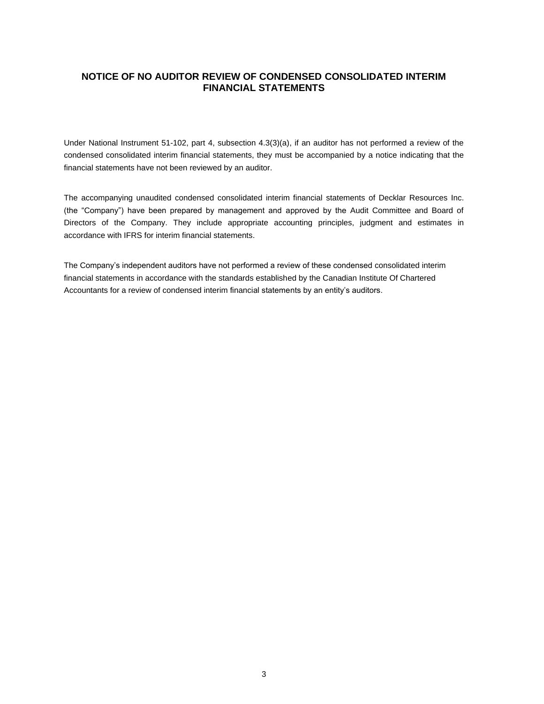# **NOTICE OF NO AUDITOR REVIEW OF CONDENSED CONSOLIDATED INTERIM FINANCIAL STATEMENTS**

Under National Instrument 51-102, part 4, subsection 4.3(3)(a), if an auditor has not performed a review of the condensed consolidated interim financial statements, they must be accompanied by a notice indicating that the financial statements have not been reviewed by an auditor.

The accompanying unaudited condensed consolidated interim financial statements of Decklar Resources Inc. (the "Company") have been prepared by management and approved by the Audit Committee and Board of Directors of the Company. They include appropriate accounting principles, judgment and estimates in accordance with IFRS for interim financial statements.

The Company's independent auditors have not performed a review of these condensed consolidated interim financial statements in accordance with the standards established by the Canadian Institute Of Chartered Accountants for a review of condensed interim financial statements by an entity's auditors.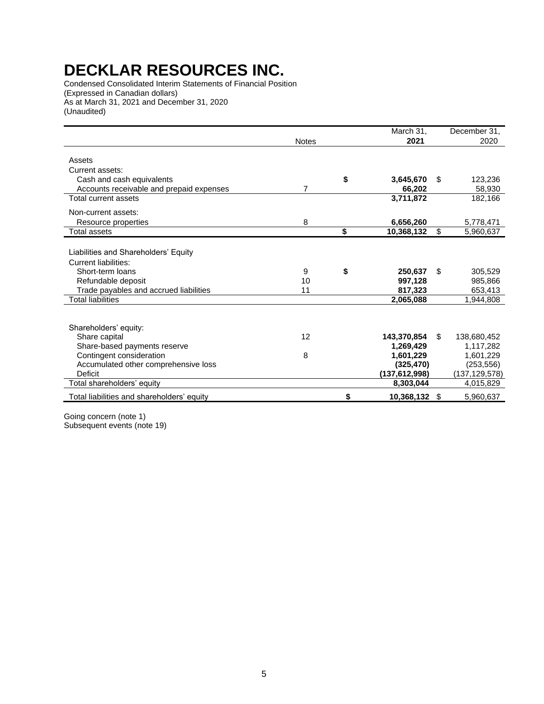Condensed Consolidated Interim Statements of Financial Position (Expressed in Canadian dollars) As at March 31, 2021 and December 31, 2020 (Unaudited)

|                                                                                                                                                                                     |               | March 31,                                                            |     | December 31,                                                         |
|-------------------------------------------------------------------------------------------------------------------------------------------------------------------------------------|---------------|----------------------------------------------------------------------|-----|----------------------------------------------------------------------|
|                                                                                                                                                                                     | <b>Notes</b>  | 2021                                                                 |     | 2020                                                                 |
| Assets<br>Current assets:                                                                                                                                                           |               |                                                                      |     |                                                                      |
| Cash and cash equivalents                                                                                                                                                           |               | \$<br>3,645,670                                                      | \$  | 123,236                                                              |
| Accounts receivable and prepaid expenses<br>Total current assets                                                                                                                    | 7             | 66,202<br>3,711,872                                                  |     | 58,930<br>182,166                                                    |
| Non-current assets:<br>Resource properties                                                                                                                                          | 8             | 6,656,260                                                            |     | 5,778,471                                                            |
| Total assets                                                                                                                                                                        |               | \$<br>10,368,132                                                     | \$  | 5,960,637                                                            |
| Liabilities and Shareholders' Equity<br><b>Current liabilities:</b><br>Short-term loans<br>Refundable deposit<br>Trade payables and accrued liabilities<br><b>Total liabilities</b> | 9<br>10<br>11 | \$<br>250.637<br>997,128<br>817.323<br>2,065,088                     | \$  | 305,529<br>985,866<br>653,413<br>1,944,808                           |
| Shareholders' equity:<br>Share capital<br>Share-based payments reserve<br>Contingent consideration<br>Accumulated other comprehensive loss<br>Deficit                               | 12<br>8       | 143,370,854<br>1,269,429<br>1,601,229<br>(325, 470)<br>(137.612.998) | \$. | 138,680,452<br>1,117,282<br>1,601,229<br>(253, 556)<br>(137,129,578) |
| Total shareholders' equity                                                                                                                                                          |               | 8,303,044                                                            |     | 4,015,829                                                            |
| Total liabilities and shareholders' equity                                                                                                                                          |               | \$<br>10,368,132                                                     | \$  | 5,960,637                                                            |

Going concern (note [1\)](#page-7-0) Subsequent events (note 19)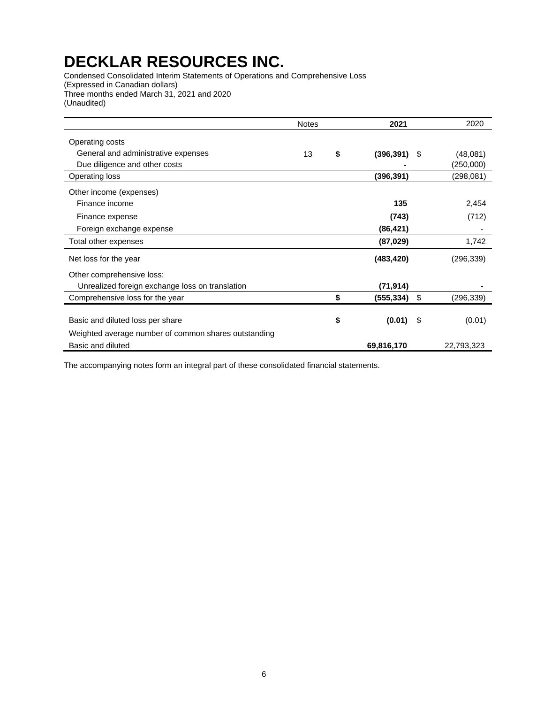Condensed Consolidated Interim Statements of Operations and Comprehensive Loss (Expressed in Canadian dollars) Three months ended March 31, 2021 and 2020 (Unaudited)

|                                                      | <b>Notes</b> | 2021             |      | 2020       |
|------------------------------------------------------|--------------|------------------|------|------------|
| Operating costs                                      |              |                  |      |            |
| General and administrative expenses                  | 13           | \$<br>(396, 391) | - \$ | (48,081)   |
| Due diligence and other costs                        |              |                  |      | (250,000)  |
| Operating loss                                       |              | (396, 391)       |      | (298,081)  |
| Other income (expenses)                              |              |                  |      |            |
| Finance income                                       |              | 135              |      | 2,454      |
| Finance expense                                      |              | (743)            |      | (712)      |
| Foreign exchange expense                             |              | (86, 421)        |      |            |
| Total other expenses                                 |              | (87, 029)        |      | 1,742      |
| Net loss for the year                                |              | (483, 420)       |      | (296, 339) |
| Other comprehensive loss:                            |              |                  |      |            |
| Unrealized foreign exchange loss on translation      |              | (71, 914)        |      |            |
| Comprehensive loss for the year                      |              | \$<br>(555, 334) | \$   | (296, 339) |
|                                                      |              |                  |      |            |
| Basic and diluted loss per share                     |              | \$<br>(0.01)     | - \$ | (0.01)     |
| Weighted average number of common shares outstanding |              |                  |      |            |
| Basic and diluted                                    |              | 69,816,170       |      | 22,793,323 |

The accompanying notes form an integral part of these consolidated financial statements.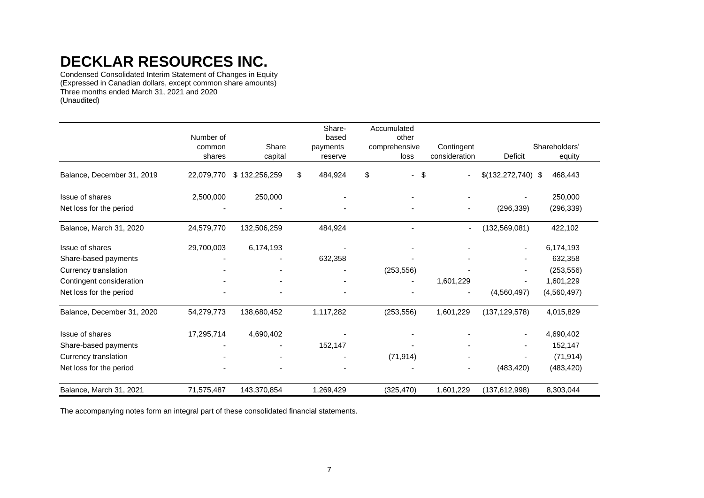Condensed Consolidated Interim Statement of Changes in Equity (Expressed in Canadian dollars, except common share amounts) Three months ended March 31, 2021 and 2020 (Unaudited)

|                            | Number of<br>common<br>shares | Share<br>capital | Share-<br>based<br>payments<br>reserve | Accumulated<br>other<br>comprehensive<br>loss | Contingent<br>consideration | Deficit              | Shareholders'<br>equity |
|----------------------------|-------------------------------|------------------|----------------------------------------|-----------------------------------------------|-----------------------------|----------------------|-------------------------|
| Balance, December 31, 2019 | 22,079,770                    | \$132,256,259    | \$<br>484,924                          | \$<br>\$                                      | $\overline{a}$              | $$(132,272,740)$ \\$ | 468,443                 |
| Issue of shares            | 2,500,000                     | 250,000          |                                        |                                               |                             |                      | 250,000                 |
| Net loss for the period    |                               |                  |                                        |                                               |                             | (296, 339)           | (296, 339)              |
| Balance, March 31, 2020    | 24,579,770                    | 132,506,259      | 484,924                                |                                               | $\overline{\phantom{a}}$    | (132, 569, 081)      | 422,102                 |
| Issue of shares            | 29,700,003                    | 6,174,193        |                                        |                                               |                             |                      | 6,174,193               |
| Share-based payments       |                               |                  | 632,358                                |                                               |                             |                      | 632,358                 |
| Currency translation       |                               |                  |                                        | (253, 556)                                    |                             |                      | (253, 556)              |
| Contingent consideration   |                               |                  |                                        |                                               | 1,601,229                   |                      | 1,601,229               |
| Net loss for the period    |                               |                  |                                        |                                               |                             | (4,560,497)          | (4,560,497)             |
| Balance, December 31, 2020 | 54,279,773                    | 138,680,452      | 1,117,282                              | (253, 556)                                    | 1,601,229                   | (137, 129, 578)      | 4,015,829               |
| Issue of shares            | 17,295,714                    | 4,690,402        |                                        |                                               |                             | $\blacksquare$       | 4,690,402               |
| Share-based payments       |                               |                  | 152,147                                |                                               |                             |                      | 152,147                 |
| Currency translation       |                               |                  |                                        | (71, 914)                                     |                             |                      | (71, 914)               |
| Net loss for the period    |                               |                  |                                        |                                               |                             | (483, 420)           | (483, 420)              |
| Balance, March 31, 2021    | 71,575,487                    | 143,370,854      | 1,269,429                              | (325, 470)                                    | 1,601,229                   | (137, 612, 998)      | 8,303,044               |

The accompanying notes form an integral part of these consolidated financial statements.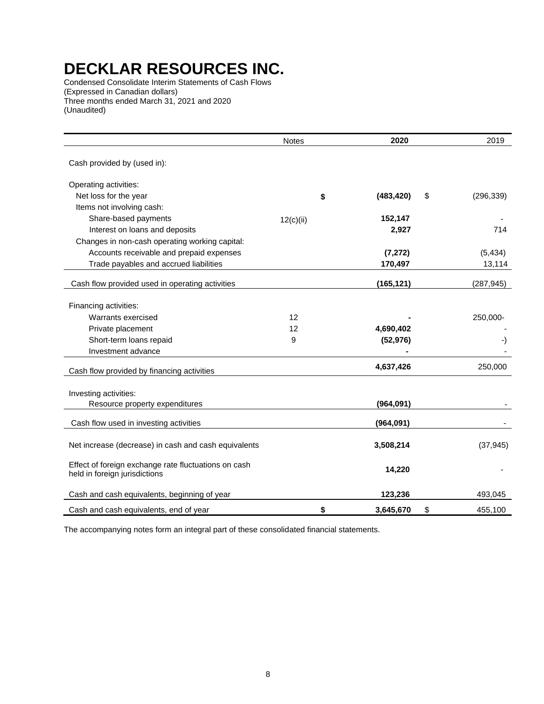Condensed Consolidate Interim Statements of Cash Flows (Expressed in Canadian dollars) Three months ended March 31, 2021 and 2020 (Unaudited)

|                                                                                       | <b>Notes</b> | 2020             | 2019             |
|---------------------------------------------------------------------------------------|--------------|------------------|------------------|
| Cash provided by (used in):                                                           |              |                  |                  |
| Operating activities:                                                                 |              |                  |                  |
| Net loss for the year                                                                 |              | \$<br>(483, 420) | \$<br>(296, 339) |
| Items not involving cash:                                                             |              |                  |                  |
| Share-based payments                                                                  | 12(c)(ii)    | 152,147          |                  |
| Interest on loans and deposits                                                        |              | 2,927            | 714              |
| Changes in non-cash operating working capital:                                        |              |                  |                  |
| Accounts receivable and prepaid expenses                                              |              | (7, 272)         | (5, 434)         |
| Trade payables and accrued liabilities                                                |              | 170,497          | 13,114           |
| Cash flow provided used in operating activities                                       |              | (165, 121)       | (287, 945)       |
|                                                                                       |              |                  |                  |
| Financing activities:                                                                 |              |                  |                  |
| Warrants exercised                                                                    | 12           |                  | 250,000-         |
| Private placement                                                                     | 12           | 4,690,402        |                  |
| Short-term loans repaid                                                               | 9            | (52, 976)        | -)               |
| Investment advance                                                                    |              |                  |                  |
| Cash flow provided by financing activities                                            |              | 4,637,426        | 250,000          |
|                                                                                       |              |                  |                  |
| Investing activities:                                                                 |              |                  |                  |
| Resource property expenditures                                                        |              | (964,091)        |                  |
| Cash flow used in investing activities                                                |              | (964, 091)       |                  |
| Net increase (decrease) in cash and cash equivalents                                  |              | 3,508,214        | (37, 945)        |
| Effect of foreign exchange rate fluctuations on cash<br>held in foreign jurisdictions |              | 14,220           |                  |
| Cash and cash equivalents, beginning of year                                          |              | 123,236          | 493,045          |
| Cash and cash equivalents, end of year                                                |              | \$<br>3,645,670  | \$<br>455,100    |

The accompanying notes form an integral part of these consolidated financial statements.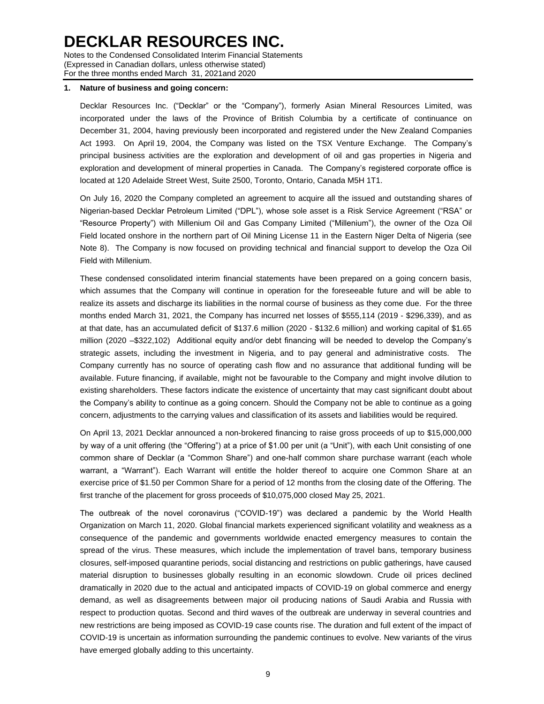Notes to the Condensed Consolidated Interim Financial Statements (Expressed in Canadian dollars, unless otherwise stated) For the three months ended March 31, 2021and 2020

#### <span id="page-7-0"></span>**1. Nature of business and going concern:**

Decklar Resources Inc. ("Decklar" or the "Company"), formerly Asian Mineral Resources Limited, was incorporated under the laws of the Province of British Columbia by a certificate of continuance on December 31, 2004, having previously been incorporated and registered under the New Zealand Companies Act 1993. On April 19, 2004, the Company was listed on the TSX Venture Exchange. The Company's principal business activities are the exploration and development of oil and gas properties in Nigeria and exploration and development of mineral properties in Canada. The Company's registered corporate office is located at 120 Adelaide Street West, Suite 2500, Toronto, Ontario, Canada M5H 1T1.

On July 16, 2020 the Company completed an agreement to acquire all the issued and outstanding shares of Nigerian-based Decklar Petroleum Limited ("DPL"), whose sole asset is a Risk Service Agreement ("RSA" or "Resource Property") with Millenium Oil and Gas Company Limited ("Millenium"), the owner of the Oza Oil Field located onshore in the northern part of Oil Mining License 11 in the Eastern Niger Delta of Nigeria (see Note 8). The Company is now focused on providing technical and financial support to develop the Oza Oil Field with Millenium.

These condensed consolidated interim financial statements have been prepared on a going concern basis, which assumes that the Company will continue in operation for the foreseeable future and will be able to realize its assets and discharge its liabilities in the normal course of business as they come due. For the three months ended March 31, 2021, the Company has incurred net losses of \$555,114 (2019 - \$296,339), and as at that date, has an accumulated deficit of \$137.6 million (2020 - \$132.6 million) and working capital of \$1.65 million (2020 –\$322,102) Additional equity and/or debt financing will be needed to develop the Company's strategic assets, including the investment in Nigeria, and to pay general and administrative costs. The Company currently has no source of operating cash flow and no assurance that additional funding will be available. Future financing, if available, might not be favourable to the Company and might involve dilution to existing shareholders. These factors indicate the existence of uncertainty that may cast significant doubt about the Company's ability to continue as a going concern. Should the Company not be able to continue as a going concern, adjustments to the carrying values and classification of its assets and liabilities would be required.

On April 13, 2021 Decklar announced a non-brokered financing to raise gross proceeds of up to \$15,000,000 by way of a unit offering (the "Offering") at a price of \$1.00 per unit (a "Unit"), with each Unit consisting of one common share of Decklar (a "Common Share") and one-half common share purchase warrant (each whole warrant, a "Warrant"). Each Warrant will entitle the holder thereof to acquire one Common Share at an exercise price of \$1.50 per Common Share for a period of 12 months from the closing date of the Offering. The first tranche of the placement for gross proceeds of \$10,075,000 closed May 25, 2021.

The outbreak of the novel coronavirus ("COVID-19") was declared a pandemic by the World Health Organization on March 11, 2020. Global financial markets experienced significant volatility and weakness as a consequence of the pandemic and governments worldwide enacted emergency measures to contain the spread of the virus. These measures, which include the implementation of travel bans, temporary business closures, self-imposed quarantine periods, social distancing and restrictions on public gatherings, have caused material disruption to businesses globally resulting in an economic slowdown. Crude oil prices declined dramatically in 2020 due to the actual and anticipated impacts of COVID-19 on global commerce and energy demand, as well as disagreements between major oil producing nations of Saudi Arabia and Russia with respect to production quotas. Second and third waves of the outbreak are underway in several countries and new restrictions are being imposed as COVID-19 case counts rise. The duration and full extent of the impact of COVID-19 is uncertain as information surrounding the pandemic continues to evolve. New variants of the virus have emerged globally adding to this uncertainty.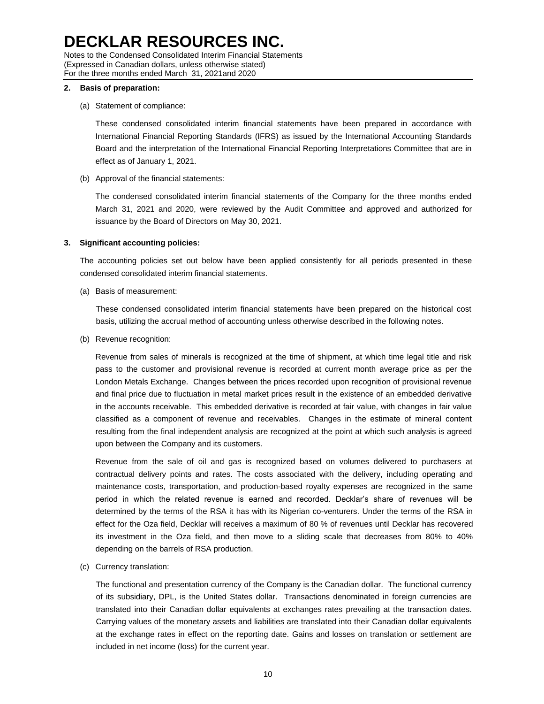Notes to the Condensed Consolidated Interim Financial Statements (Expressed in Canadian dollars, unless otherwise stated) For the three months ended March 31, 2021and 2020

#### **2. Basis of preparation:**

(a) Statement of compliance:

These condensed consolidated interim financial statements have been prepared in accordance with International Financial Reporting Standards (IFRS) as issued by the International Accounting Standards Board and the interpretation of the International Financial Reporting Interpretations Committee that are in effect as of January 1, 2021.

(b) Approval of the financial statements:

The condensed consolidated interim financial statements of the Company for the three months ended March 31, 2021 and 2020, were reviewed by the Audit Committee and approved and authorized for issuance by the Board of Directors on May 30, 2021.

### **3. Significant accounting policies:**

The accounting policies set out below have been applied consistently for all periods presented in these condensed consolidated interim financial statements.

(a) Basis of measurement:

These condensed consolidated interim financial statements have been prepared on the historical cost basis, utilizing the accrual method of accounting unless otherwise described in the following notes.

(b) Revenue recognition:

Revenue from sales of minerals is recognized at the time of shipment, at which time legal title and risk pass to the customer and provisional revenue is recorded at current month average price as per the London Metals Exchange. Changes between the prices recorded upon recognition of provisional revenue and final price due to fluctuation in metal market prices result in the existence of an embedded derivative in the accounts receivable. This embedded derivative is recorded at fair value, with changes in fair value classified as a component of revenue and receivables. Changes in the estimate of mineral content resulting from the final independent analysis are recognized at the point at which such analysis is agreed upon between the Company and its customers.

Revenue from the sale of oil and gas is recognized based on volumes delivered to purchasers at contractual delivery points and rates. The costs associated with the delivery, including operating and maintenance costs, transportation, and production-based royalty expenses are recognized in the same period in which the related revenue is earned and recorded. Decklar's share of revenues will be determined by the terms of the RSA it has with its Nigerian co-venturers. Under the terms of the RSA in effect for the Oza field, Decklar will receives a maximum of 80 % of revenues until Decklar has recovered its investment in the Oza field, and then move to a sliding scale that decreases from 80% to 40% depending on the barrels of RSA production.

(c) Currency translation:

The functional and presentation currency of the Company is the Canadian dollar. The functional currency of its subsidiary, DPL, is the United States dollar. Transactions denominated in foreign currencies are translated into their Canadian dollar equivalents at exchanges rates prevailing at the transaction dates. Carrying values of the monetary assets and liabilities are translated into their Canadian dollar equivalents at the exchange rates in effect on the reporting date. Gains and losses on translation or settlement are included in net income (loss) for the current year.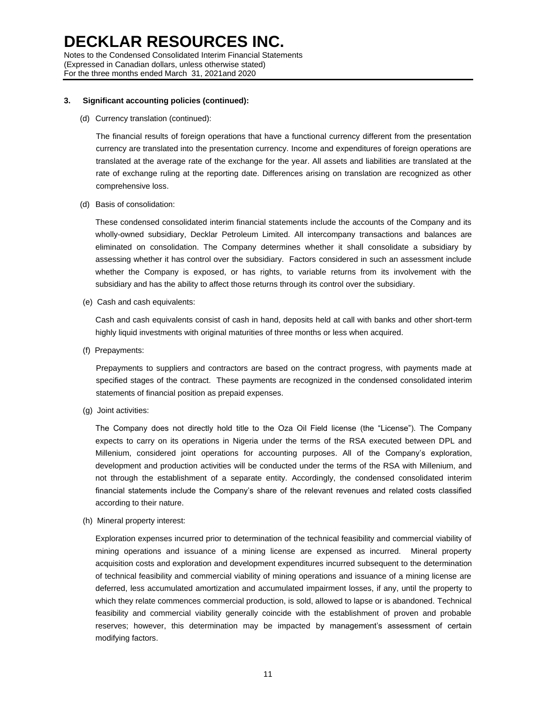Notes to the Condensed Consolidated Interim Financial Statements (Expressed in Canadian dollars, unless otherwise stated) For the three months ended March 31, 2021and 2020

### **3. Significant accounting policies (continued):**

(d) Currency translation (continued):

The financial results of foreign operations that have a functional currency different from the presentation currency are translated into the presentation currency. Income and expenditures of foreign operations are translated at the average rate of the exchange for the year. All assets and liabilities are translated at the rate of exchange ruling at the reporting date. Differences arising on translation are recognized as other comprehensive loss.

(d) Basis of consolidation:

These condensed consolidated interim financial statements include the accounts of the Company and its wholly-owned subsidiary, Decklar Petroleum Limited. All intercompany transactions and balances are eliminated on consolidation. The Company determines whether it shall consolidate a subsidiary by assessing whether it has control over the subsidiary. Factors considered in such an assessment include whether the Company is exposed, or has rights, to variable returns from its involvement with the subsidiary and has the ability to affect those returns through its control over the subsidiary.

(e) Cash and cash equivalents:

Cash and cash equivalents consist of cash in hand, deposits held at call with banks and other short-term highly liquid investments with original maturities of three months or less when acquired.

(f) Prepayments:

Prepayments to suppliers and contractors are based on the contract progress, with payments made at specified stages of the contract. These payments are recognized in the condensed consolidated interim statements of financial position as prepaid expenses.

(g) Joint activities:

The Company does not directly hold title to the Oza Oil Field license (the "License"). The Company expects to carry on its operations in Nigeria under the terms of the RSA executed between DPL and Millenium, considered joint operations for accounting purposes. All of the Company's exploration, development and production activities will be conducted under the terms of the RSA with Millenium, and not through the establishment of a separate entity. Accordingly, the condensed consolidated interim financial statements include the Company's share of the relevant revenues and related costs classified according to their nature.

(h) Mineral property interest:

Exploration expenses incurred prior to determination of the technical feasibility and commercial viability of mining operations and issuance of a mining license are expensed as incurred. Mineral property acquisition costs and exploration and development expenditures incurred subsequent to the determination of technical feasibility and commercial viability of mining operations and issuance of a mining license are deferred, less accumulated amortization and accumulated impairment losses, if any, until the property to which they relate commences commercial production, is sold, allowed to lapse or is abandoned. Technical feasibility and commercial viability generally coincide with the establishment of proven and probable reserves; however, this determination may be impacted by management's assessment of certain modifying factors.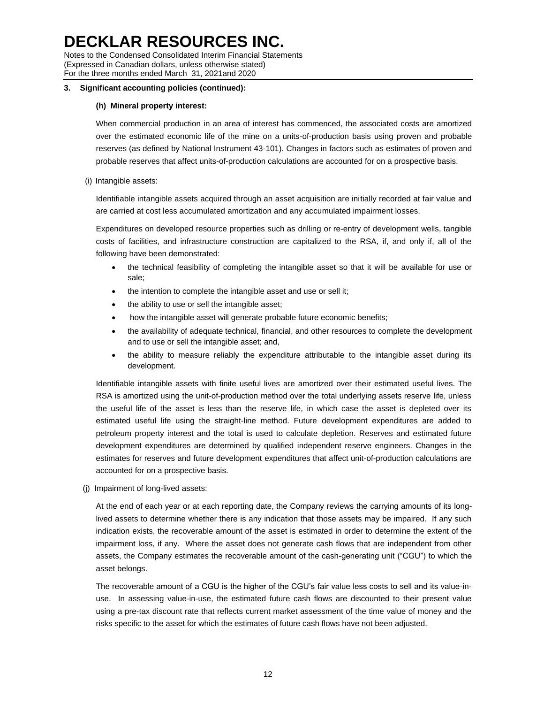Notes to the Condensed Consolidated Interim Financial Statements (Expressed in Canadian dollars, unless otherwise stated) For the three months ended March 31, 2021and 2020

### **3. Significant accounting policies (continued):**

### **(h) Mineral property interest:**

When commercial production in an area of interest has commenced, the associated costs are amortized over the estimated economic life of the mine on a units-of-production basis using proven and probable reserves (as defined by National Instrument 43-101). Changes in factors such as estimates of proven and probable reserves that affect units-of-production calculations are accounted for on a prospective basis.

### (i) Intangible assets:

Identifiable intangible assets acquired through an asset acquisition are initially recorded at fair value and are carried at cost less accumulated amortization and any accumulated impairment losses.

Expenditures on developed resource properties such as drilling or re-entry of development wells, tangible costs of facilities, and infrastructure construction are capitalized to the RSA, if, and only if, all of the following have been demonstrated:

- the technical feasibility of completing the intangible asset so that it will be available for use or sale;
- the intention to complete the intangible asset and use or sell it;
- the ability to use or sell the intangible asset;
- how the intangible asset will generate probable future economic benefits;
- the availability of adequate technical, financial, and other resources to complete the development and to use or sell the intangible asset; and,
- the ability to measure reliably the expenditure attributable to the intangible asset during its development.

Identifiable intangible assets with finite useful lives are amortized over their estimated useful lives. The RSA is amortized using the unit-of-production method over the total underlying assets reserve life, unless the useful life of the asset is less than the reserve life, in which case the asset is depleted over its estimated useful life using the straight-line method. Future development expenditures are added to petroleum property interest and the total is used to calculate depletion. Reserves and estimated future development expenditures are determined by qualified independent reserve engineers. Changes in the estimates for reserves and future development expenditures that affect unit-of-production calculations are accounted for on a prospective basis.

(j) Impairment of long-lived assets:

At the end of each year or at each reporting date, the Company reviews the carrying amounts of its longlived assets to determine whether there is any indication that those assets may be impaired. If any such indication exists, the recoverable amount of the asset is estimated in order to determine the extent of the impairment loss, if any. Where the asset does not generate cash flows that are independent from other assets, the Company estimates the recoverable amount of the cash-generating unit ("CGU") to which the asset belongs.

The recoverable amount of a CGU is the higher of the CGU's fair value less costs to sell and its value-inuse. In assessing value-in-use, the estimated future cash flows are discounted to their present value using a pre-tax discount rate that reflects current market assessment of the time value of money and the risks specific to the asset for which the estimates of future cash flows have not been adjusted.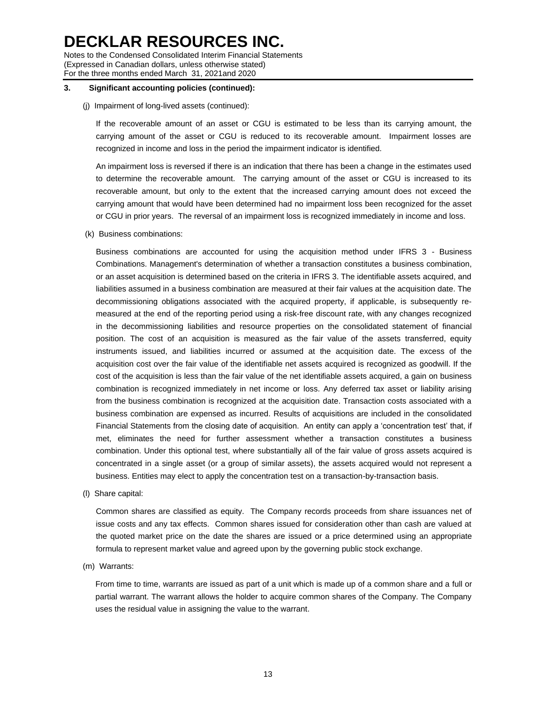Notes to the Condensed Consolidated Interim Financial Statements (Expressed in Canadian dollars, unless otherwise stated) For the three months ended March 31, 2021and 2020

#### **3. Significant accounting policies (continued):**

#### (j) Impairment of long-lived assets (continued):

If the recoverable amount of an asset or CGU is estimated to be less than its carrying amount, the carrying amount of the asset or CGU is reduced to its recoverable amount. Impairment losses are recognized in income and loss in the period the impairment indicator is identified.

An impairment loss is reversed if there is an indication that there has been a change in the estimates used to determine the recoverable amount. The carrying amount of the asset or CGU is increased to its recoverable amount, but only to the extent that the increased carrying amount does not exceed the carrying amount that would have been determined had no impairment loss been recognized for the asset or CGU in prior years. The reversal of an impairment loss is recognized immediately in income and loss.

(k) Business combinations:

Business combinations are accounted for using the acquisition method under IFRS 3 - Business Combinations. Management's determination of whether a transaction constitutes a business combination, or an asset acquisition is determined based on the criteria in IFRS 3. The identifiable assets acquired, and liabilities assumed in a business combination are measured at their fair values at the acquisition date. The decommissioning obligations associated with the acquired property, if applicable, is subsequently remeasured at the end of the reporting period using a risk-free discount rate, with any changes recognized in the decommissioning liabilities and resource properties on the consolidated statement of financial position. The cost of an acquisition is measured as the fair value of the assets transferred, equity instruments issued, and liabilities incurred or assumed at the acquisition date. The excess of the acquisition cost over the fair value of the identifiable net assets acquired is recognized as goodwill. If the cost of the acquisition is less than the fair value of the net identifiable assets acquired, a gain on business combination is recognized immediately in net income or loss. Any deferred tax asset or liability arising from the business combination is recognized at the acquisition date. Transaction costs associated with a business combination are expensed as incurred. Results of acquisitions are included in the consolidated Financial Statements from the closing date of acquisition. An entity can apply a 'concentration test' that, if met, eliminates the need for further assessment whether a transaction constitutes a business combination. Under this optional test, where substantially all of the fair value of gross assets acquired is concentrated in a single asset (or a group of similar assets), the assets acquired would not represent a business. Entities may elect to apply the concentration test on a transaction-by-transaction basis.

(l) Share capital:

Common shares are classified as equity. The Company records proceeds from share issuances net of issue costs and any tax effects. Common shares issued for consideration other than cash are valued at the quoted market price on the date the shares are issued or a price determined using an appropriate formula to represent market value and agreed upon by the governing public stock exchange.

(m) Warrants:

From time to time, warrants are issued as part of a unit which is made up of a common share and a full or partial warrant. The warrant allows the holder to acquire common shares of the Company. The Company uses the residual value in assigning the value to the warrant.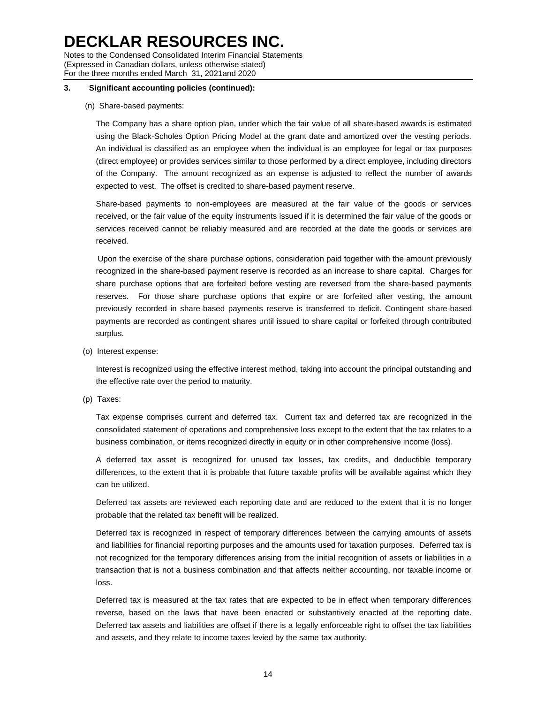Notes to the Condensed Consolidated Interim Financial Statements (Expressed in Canadian dollars, unless otherwise stated) For the three months ended March 31, 2021and 2020

## **3. Significant accounting policies (continued):**

### (n) Share-based payments:

The Company has a share option plan, under which the fair value of all share-based awards is estimated using the Black-Scholes Option Pricing Model at the grant date and amortized over the vesting periods. An individual is classified as an employee when the individual is an employee for legal or tax purposes (direct employee) or provides services similar to those performed by a direct employee, including directors of the Company. The amount recognized as an expense is adjusted to reflect the number of awards expected to vest. The offset is credited to share-based payment reserve.

Share-based payments to non-employees are measured at the fair value of the goods or services received, or the fair value of the equity instruments issued if it is determined the fair value of the goods or services received cannot be reliably measured and are recorded at the date the goods or services are received.

Upon the exercise of the share purchase options, consideration paid together with the amount previously recognized in the share-based payment reserve is recorded as an increase to share capital. Charges for share purchase options that are forfeited before vesting are reversed from the share-based payments reserves. For those share purchase options that expire or are forfeited after vesting, the amount previously recorded in share-based payments reserve is transferred to deficit. Contingent share-based payments are recorded as contingent shares until issued to share capital or forfeited through contributed surplus.

(o) Interest expense:

Interest is recognized using the effective interest method, taking into account the principal outstanding and the effective rate over the period to maturity.

(p) Taxes:

Tax expense comprises current and deferred tax. Current tax and deferred tax are recognized in the consolidated statement of operations and comprehensive loss except to the extent that the tax relates to a business combination, or items recognized directly in equity or in other comprehensive income (loss).

A deferred tax asset is recognized for unused tax losses, tax credits, and deductible temporary differences, to the extent that it is probable that future taxable profits will be available against which they can be utilized.

Deferred tax assets are reviewed each reporting date and are reduced to the extent that it is no longer probable that the related tax benefit will be realized.

Deferred tax is recognized in respect of temporary differences between the carrying amounts of assets and liabilities for financial reporting purposes and the amounts used for taxation purposes. Deferred tax is not recognized for the temporary differences arising from the initial recognition of assets or liabilities in a transaction that is not a business combination and that affects neither accounting, nor taxable income or loss.

Deferred tax is measured at the tax rates that are expected to be in effect when temporary differences reverse, based on the laws that have been enacted or substantively enacted at the reporting date. Deferred tax assets and liabilities are offset if there is a legally enforceable right to offset the tax liabilities and assets, and they relate to income taxes levied by the same tax authority.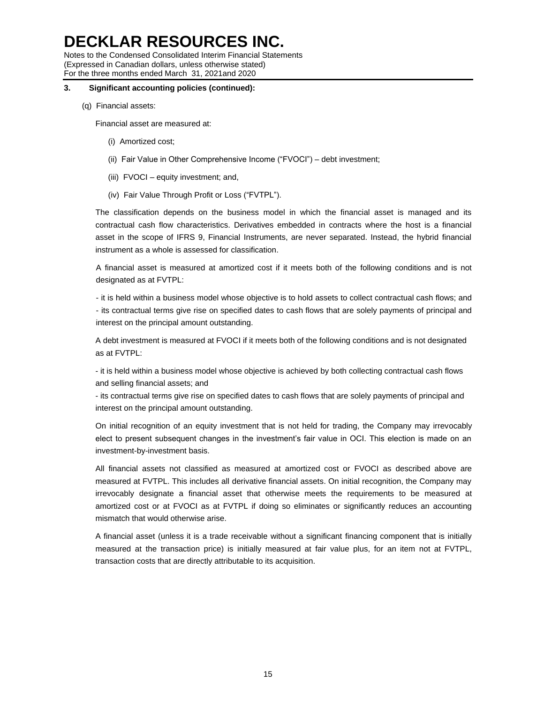Notes to the Condensed Consolidated Interim Financial Statements (Expressed in Canadian dollars, unless otherwise stated) For the three months ended March 31, 2021and 2020

#### **3. Significant accounting policies (continued):**

(q) Financial assets:

Financial asset are measured at:

- (i) Amortized cost;
- (ii) Fair Value in Other Comprehensive Income ("FVOCI") debt investment;
- (iii) FVOCI equity investment; and,
- (iv) Fair Value Through Profit or Loss ("FVTPL").

The classification depends on the business model in which the financial asset is managed and its contractual cash flow characteristics. Derivatives embedded in contracts where the host is a financial asset in the scope of IFRS 9, Financial Instruments, are never separated. Instead, the hybrid financial instrument as a whole is assessed for classification.

A financial asset is measured at amortized cost if it meets both of the following conditions and is not designated as at FVTPL:

- it is held within a business model whose objective is to hold assets to collect contractual cash flows; and - its contractual terms give rise on specified dates to cash flows that are solely payments of principal and interest on the principal amount outstanding.

A debt investment is measured at FVOCI if it meets both of the following conditions and is not designated as at FVTPL:

- it is held within a business model whose objective is achieved by both collecting contractual cash flows and selling financial assets; and

- its contractual terms give rise on specified dates to cash flows that are solely payments of principal and interest on the principal amount outstanding.

On initial recognition of an equity investment that is not held for trading, the Company may irrevocably elect to present subsequent changes in the investment's fair value in OCI. This election is made on an investment-by-investment basis.

All financial assets not classified as measured at amortized cost or FVOCI as described above are measured at FVTPL. This includes all derivative financial assets. On initial recognition, the Company may irrevocably designate a financial asset that otherwise meets the requirements to be measured at amortized cost or at FVOCI as at FVTPL if doing so eliminates or significantly reduces an accounting mismatch that would otherwise arise.

A financial asset (unless it is a trade receivable without a significant financing component that is initially measured at the transaction price) is initially measured at fair value plus, for an item not at FVTPL, transaction costs that are directly attributable to its acquisition.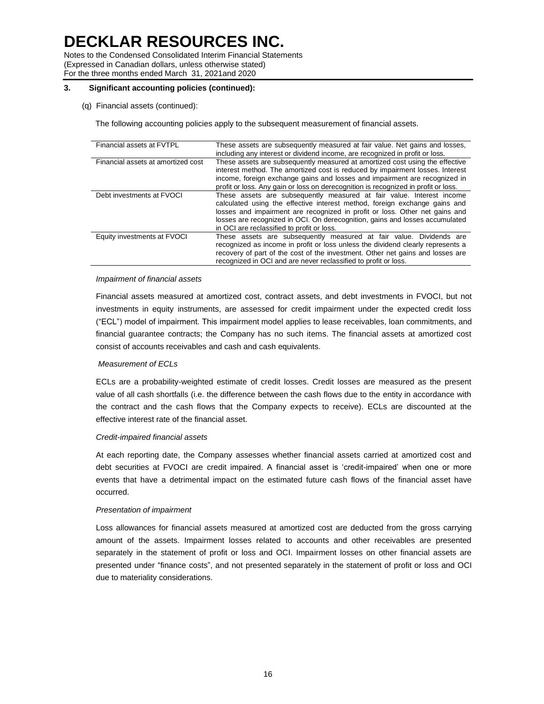Notes to the Condensed Consolidated Interim Financial Statements (Expressed in Canadian dollars, unless otherwise stated) For the three months ended March 31, 2021and 2020

## **3. Significant accounting policies (continued):**

(q) Financial assets (continued):

The following accounting policies apply to the subsequent measurement of financial assets.

| Financial assets at FVTPL          | These assets are subsequently measured at fair value. Net gains and losses,<br>including any interest or dividend income, are recognized in profit or loss.                                                                                                                                                                                                      |
|------------------------------------|------------------------------------------------------------------------------------------------------------------------------------------------------------------------------------------------------------------------------------------------------------------------------------------------------------------------------------------------------------------|
| Financial assets at amortized cost | These assets are subsequently measured at amortized cost using the effective<br>interest method. The amortized cost is reduced by impairment losses. Interest<br>income, foreign exchange gains and losses and impairment are recognized in<br>profit or loss. Any gain or loss on derecognition is recognized in profit or loss.                                |
| Debt investments at FVOCI          | These assets are subsequently measured at fair value. Interest income<br>calculated using the effective interest method, foreign exchange gains and<br>losses and impairment are recognized in profit or loss. Other net gains and<br>losses are recognized in OCI. On derecognition, gains and losses accumulated<br>in OCI are reclassified to profit or loss. |
| Equity investments at FVOCI        | These assets are subsequently measured at fair value. Dividends are<br>recognized as income in profit or loss unless the dividend clearly represents a<br>recovery of part of the cost of the investment. Other net gains and losses are<br>recognized in OCI and are never reclassified to profit or loss.                                                      |

### *Impairment of financial assets*

Financial assets measured at amortized cost, contract assets, and debt investments in FVOCI, but not investments in equity instruments, are assessed for credit impairment under the expected credit loss ("ECL") model of impairment. This impairment model applies to lease receivables, loan commitments, and financial guarantee contracts; the Company has no such items. The financial assets at amortized cost consist of accounts receivables and cash and cash equivalents.

# *Measurement of ECLs*

ECLs are a probability-weighted estimate of credit losses. Credit losses are measured as the present value of all cash shortfalls (i.e. the difference between the cash flows due to the entity in accordance with the contract and the cash flows that the Company expects to receive). ECLs are discounted at the effective interest rate of the financial asset.

#### *Credit-impaired financial assets*

At each reporting date, the Company assesses whether financial assets carried at amortized cost and debt securities at FVOCI are credit impaired. A financial asset is 'credit-impaired' when one or more events that have a detrimental impact on the estimated future cash flows of the financial asset have occurred.

# *Presentation of impairment*

Loss allowances for financial assets measured at amortized cost are deducted from the gross carrying amount of the assets. Impairment losses related to accounts and other receivables are presented separately in the statement of profit or loss and OCI. Impairment losses on other financial assets are presented under "finance costs", and not presented separately in the statement of profit or loss and OCI due to materiality considerations.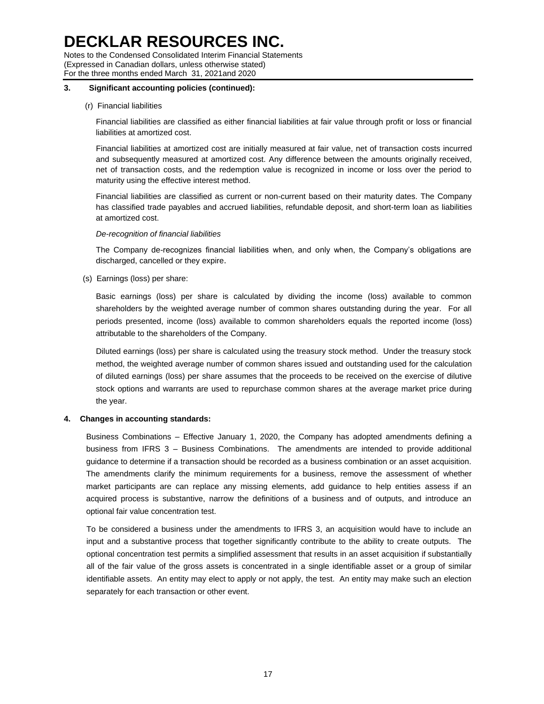Notes to the Condensed Consolidated Interim Financial Statements (Expressed in Canadian dollars, unless otherwise stated) For the three months ended March 31, 2021and 2020

## **3. Significant accounting policies (continued):**

### (r) Financial liabilities

Financial liabilities are classified as either financial liabilities at fair value through profit or loss or financial liabilities at amortized cost.

Financial liabilities at amortized cost are initially measured at fair value, net of transaction costs incurred and subsequently measured at amortized cost. Any difference between the amounts originally received, net of transaction costs, and the redemption value is recognized in income or loss over the period to maturity using the effective interest method.

Financial liabilities are classified as current or non-current based on their maturity dates. The Company has classified trade payables and accrued liabilities, refundable deposit, and short-term loan as liabilities at amortized cost.

#### *De-recognition of financial liabilities*

The Company de-recognizes financial liabilities when, and only when, the Company's obligations are discharged, cancelled or they expire.

(s) Earnings (loss) per share:

Basic earnings (loss) per share is calculated by dividing the income (loss) available to common shareholders by the weighted average number of common shares outstanding during the year. For all periods presented, income (loss) available to common shareholders equals the reported income (loss) attributable to the shareholders of the Company.

Diluted earnings (loss) per share is calculated using the treasury stock method. Under the treasury stock method, the weighted average number of common shares issued and outstanding used for the calculation of diluted earnings (loss) per share assumes that the proceeds to be received on the exercise of dilutive stock options and warrants are used to repurchase common shares at the average market price during the year.

# **4. Changes in accounting standards:**

Business Combinations – Effective January 1, 2020, the Company has adopted amendments defining a business from IFRS 3 – Business Combinations. The amendments are intended to provide additional guidance to determine if a transaction should be recorded as a business combination or an asset acquisition. The amendments clarify the minimum requirements for a business, remove the assessment of whether market participants are can replace any missing elements, add guidance to help entities assess if an acquired process is substantive, narrow the definitions of a business and of outputs, and introduce an optional fair value concentration test.

To be considered a business under the amendments to IFRS 3, an acquisition would have to include an input and a substantive process that together significantly contribute to the ability to create outputs. The optional concentration test permits a simplified assessment that results in an asset acquisition if substantially all of the fair value of the gross assets is concentrated in a single identifiable asset or a group of similar identifiable assets. An entity may elect to apply or not apply, the test. An entity may make such an election separately for each transaction or other event.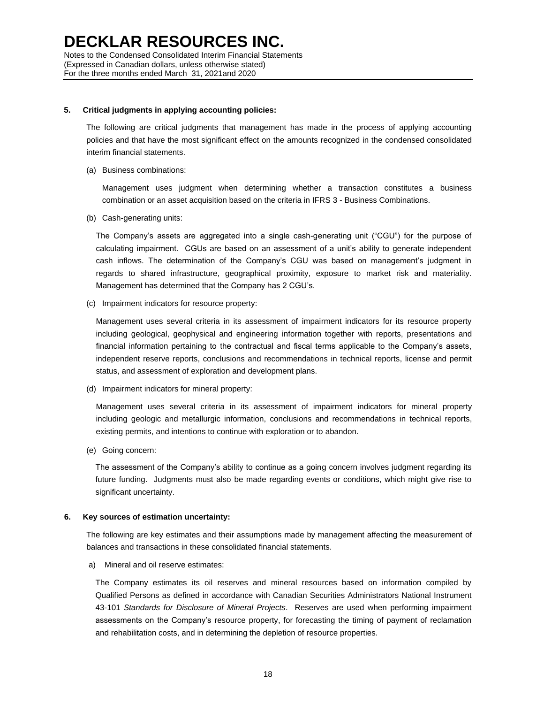#### **5. Critical judgments in applying accounting policies:**

The following are critical judgments that management has made in the process of applying accounting policies and that have the most significant effect on the amounts recognized in the condensed consolidated interim financial statements.

(a) Business combinations:

Management uses judgment when determining whether a transaction constitutes a business combination or an asset acquisition based on the criteria in IFRS 3 - Business Combinations.

(b) Cash-generating units:

The Company's assets are aggregated into a single cash-generating unit ("CGU") for the purpose of calculating impairment. CGUs are based on an assessment of a unit's ability to generate independent cash inflows. The determination of the Company's CGU was based on management's judgment in regards to shared infrastructure, geographical proximity, exposure to market risk and materiality. Management has determined that the Company has 2 CGU's.

(c) Impairment indicators for resource property:

Management uses several criteria in its assessment of impairment indicators for its resource property including geological, geophysical and engineering information together with reports, presentations and financial information pertaining to the contractual and fiscal terms applicable to the Company's assets, independent reserve reports, conclusions and recommendations in technical reports, license and permit status, and assessment of exploration and development plans.

(d) Impairment indicators for mineral property:

Management uses several criteria in its assessment of impairment indicators for mineral property including geologic and metallurgic information, conclusions and recommendations in technical reports, existing permits, and intentions to continue with exploration or to abandon.

(e) Going concern:

The assessment of the Company's ability to continue as a going concern involves judgment regarding its future funding. Judgments must also be made regarding events or conditions, which might give rise to significant uncertainty.

#### **6. Key sources of estimation uncertainty:**

The following are key estimates and their assumptions made by management affecting the measurement of balances and transactions in these consolidated financial statements.

a) Mineral and oil reserve estimates:

The Company estimates its oil reserves and mineral resources based on information compiled by Qualified Persons as defined in accordance with Canadian Securities Administrators National Instrument 43-101 *Standards for Disclosure of Mineral Projects*. Reserves are used when performing impairment assessments on the Company's resource property, for forecasting the timing of payment of reclamation and rehabilitation costs, and in determining the depletion of resource properties.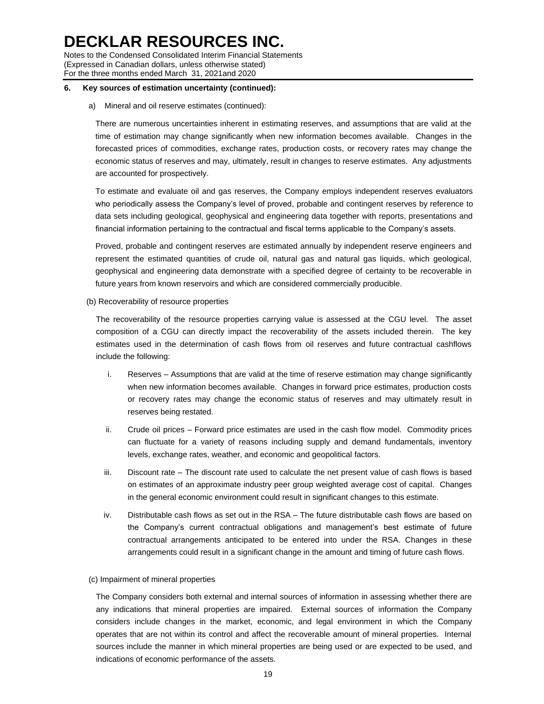Notes to the Condensed Consolidated Interim Financial Statements (Expressed in Canadian dollars, unless otherwise stated) For the three months ended March 31, 2021and 2020

#### **6. Key sources of estimation uncertainty (continued):**

a) Mineral and oil reserve estimates (continued):

There are numerous uncertainties inherent in estimating reserves, and assumptions that are valid at the time of estimation may change significantly when new information becomes available. Changes in the forecasted prices of commodities, exchange rates, production costs, or recovery rates may change the economic status of reserves and may, ultimately, result in changes to reserve estimates. Any adjustments are accounted for prospectively.

To estimate and evaluate oil and gas reserves, the Company employs independent reserves evaluators who periodically assess the Company's level of proved, probable and contingent reserves by reference to data sets including geological, geophysical and engineering data together with reports, presentations and financial information pertaining to the contractual and fiscal terms applicable to the Company's assets.

Proved, probable and contingent reserves are estimated annually by independent reserve engineers and represent the estimated quantities of crude oil, natural gas and natural gas liquids, which geological, geophysical and engineering data demonstrate with a specified degree of certainty to be recoverable in future years from known reservoirs and which are considered commercially producible.

(b) Recoverability of resource properties

The recoverability of the resource properties carrying value is assessed at the CGU level. The asset composition of a CGU can directly impact the recoverability of the assets included therein. The key estimates used in the determination of cash flows from oil reserves and future contractual cashflows include the following:

- i. Reserves Assumptions that are valid at the time of reserve estimation may change significantly when new information becomes available. Changes in forward price estimates, production costs or recovery rates may change the economic status of reserves and may ultimately result in reserves being restated.
- ii. Crude oil prices Forward price estimates are used in the cash flow model. Commodity prices can fluctuate for a variety of reasons including supply and demand fundamentals, inventory levels, exchange rates, weather, and economic and geopolitical factors.
- iii. Discount rate The discount rate used to calculate the net present value of cash flows is based on estimates of an approximate industry peer group weighted average cost of capital. Changes in the general economic environment could result in significant changes to this estimate.
- iv. Distributable cash flows as set out in the RSA The future distributable cash flows are based on the Company's current contractual obligations and management's best estimate of future contractual arrangements anticipated to be entered into under the RSA. Changes in these arrangements could result in a significant change in the amount and timing of future cash flows.

#### (c) Impairment of mineral properties

The Company considers both external and internal sources of information in assessing whether there are any indications that mineral properties are impaired. External sources of information the Company considers include changes in the market, economic, and legal environment in which the Company operates that are not within its control and affect the recoverable amount of mineral properties. Internal sources include the manner in which mineral properties are being used or are expected to be used, and indications of economic performance of the assets.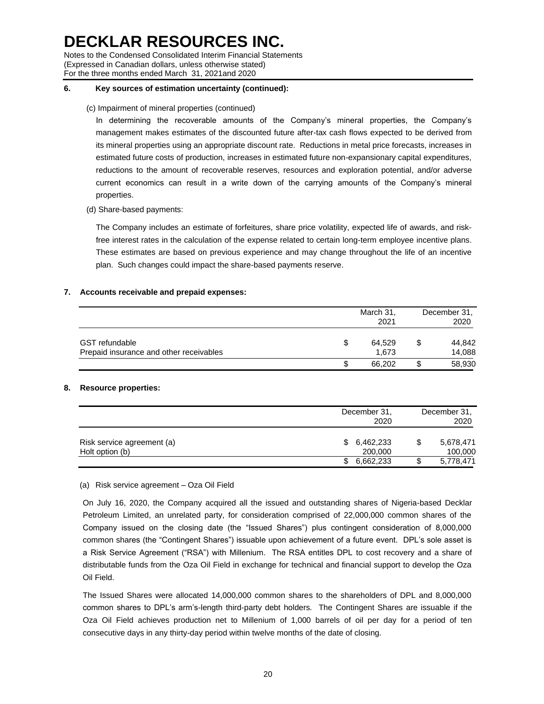Notes to the Condensed Consolidated Interim Financial Statements (Expressed in Canadian dollars, unless otherwise stated) For the three months ended March 31, 2021and 2020

## **6. Key sources of estimation uncertainty (continued):**

## (c) Impairment of mineral properties (continued)

In determining the recoverable amounts of the Company's mineral properties, the Company's management makes estimates of the discounted future after-tax cash flows expected to be derived from its mineral properties using an appropriate discount rate. Reductions in metal price forecasts, increases in estimated future costs of production, increases in estimated future non-expansionary capital expenditures, reductions to the amount of recoverable reserves, resources and exploration potential, and/or adverse current economics can result in a write down of the carrying amounts of the Company's mineral properties.

(d) Share-based payments:

The Company includes an estimate of forfeitures, share price volatility, expected life of awards, and riskfree interest rates in the calculation of the expense related to certain long-term employee incentive plans. These estimates are based on previous experience and may change throughout the life of an incentive plan. Such changes could impact the share-based payments reserve.

# **7. Accounts receivable and prepaid expenses:**

|                                                                  | March 31,<br>2021     | December 31,<br>2020   |  |
|------------------------------------------------------------------|-----------------------|------------------------|--|
| <b>GST</b> refundable<br>Prepaid insurance and other receivables | \$<br>64.529<br>1.673 | \$<br>44.842<br>14,088 |  |
|                                                                  | \$<br>66.202          | 58,930                 |  |

# **8. Resource properties:**

|                                               | December 31,<br>2020       | December 31,<br>2020 |                      |
|-----------------------------------------------|----------------------------|----------------------|----------------------|
| Risk service agreement (a)<br>Holt option (b) | 6,462,233<br>\$<br>200,000 |                      | 5,678,471<br>100,000 |
|                                               | 6,662,233<br>\$            |                      | 5,778,471            |

#### (a) Risk service agreement – Oza Oil Field

On July 16, 2020, the Company acquired all the issued and outstanding shares of Nigeria-based Decklar Petroleum Limited, an unrelated party, for consideration comprised of 22,000,000 common shares of the Company issued on the closing date (the "Issued Shares") plus contingent consideration of 8,000,000 common shares (the "Contingent Shares") issuable upon achievement of a future event. DPL's sole asset is a Risk Service Agreement ("RSA") with Millenium. The RSA entitles DPL to cost recovery and a share of distributable funds from the Oza Oil Field in exchange for technical and financial support to develop the Oza Oil Field.

The Issued Shares were allocated 14,000,000 common shares to the shareholders of DPL and 8,000,000 common shares to DPL's arm's-length third-party debt holders. The Contingent Shares are issuable if the Oza Oil Field achieves production net to Millenium of 1,000 barrels of oil per day for a period of ten consecutive days in any thirty-day period within twelve months of the date of closing.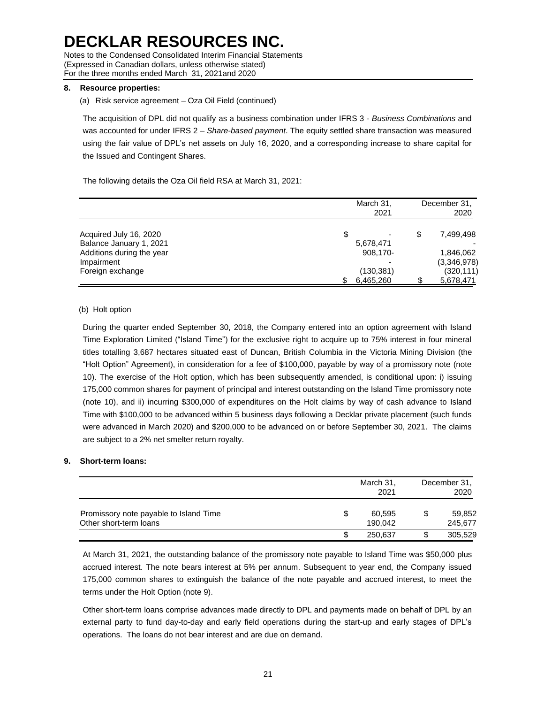Notes to the Condensed Consolidated Interim Financial Statements (Expressed in Canadian dollars, unless otherwise stated) For the three months ended March 31, 2021and 2020

### **8. Resource properties:**

(a) Risk service agreement – Oza Oil Field (continued)

The acquisition of DPL did not qualify as a business combination under IFRS 3 - *Business Combinations* and was accounted for under IFRS 2 – *Share-based payment*. The equity settled share transaction was measured using the fair value of DPL's net assets on July 16, 2020, and a corresponding increase to share capital for the Issued and Contingent Shares.

The following details the Oza Oil field RSA at March 31, 2021:

|                           | March 31,<br>2021 | December 31,<br>2020 |
|---------------------------|-------------------|----------------------|
| Acquired July 16, 2020    | \$<br>-           | \$<br>7,499,498      |
| Balance January 1, 2021   | 5,678,471         |                      |
| Additions during the year | 908.170-          | 1.846.062            |
| Impairment                |                   | (3,346,978)          |
| Foreign exchange          | (130, 381)        | (320, 111)           |
|                           | 6,465,260         | 5,678,471            |

#### (b) Holt option

During the quarter ended September 30, 2018, the Company entered into an option agreement with Island Time Exploration Limited ("Island Time") for the exclusive right to acquire up to 75% interest in four mineral titles totalling 3,687 hectares situated east of Duncan, British Columbia in the Victoria Mining Division (the "Holt Option" Agreement), in consideration for a fee of \$100,000, payable by way of a promissory note (note 10). The exercise of the Holt option, which has been subsequently amended, is conditional upon: i) issuing 175,000 common shares for payment of principal and interest outstanding on the Island Time promissory note (note 10), and ii) incurring \$300,000 of expenditures on the Holt claims by way of cash advance to Island Time with \$100,000 to be advanced within 5 business days following a Decklar private placement (such funds were advanced in March 2020) and \$200,000 to be advanced on or before September 30, 2021. The claims are subject to a 2% net smelter return royalty.

#### **9. Short-term loans:**

|                                                                  | March 31,<br>2021       | December 31,<br>2020    |  |
|------------------------------------------------------------------|-------------------------|-------------------------|--|
| Promissory note payable to Island Time<br>Other short-term loans | \$<br>60.595<br>190.042 | \$<br>59,852<br>245,677 |  |
|                                                                  | \$<br>250,637           | 305,529                 |  |

At March 31, 2021, the outstanding balance of the promissory note payable to Island Time was \$50,000 plus accrued interest. The note bears interest at 5% per annum. Subsequent to year end, the Company issued 175,000 common shares to extinguish the balance of the note payable and accrued interest, to meet the terms under the Holt Option (note 9).

Other short-term loans comprise advances made directly to DPL and payments made on behalf of DPL by an external party to fund day-to-day and early field operations during the start-up and early stages of DPL's operations. The loans do not bear interest and are due on demand.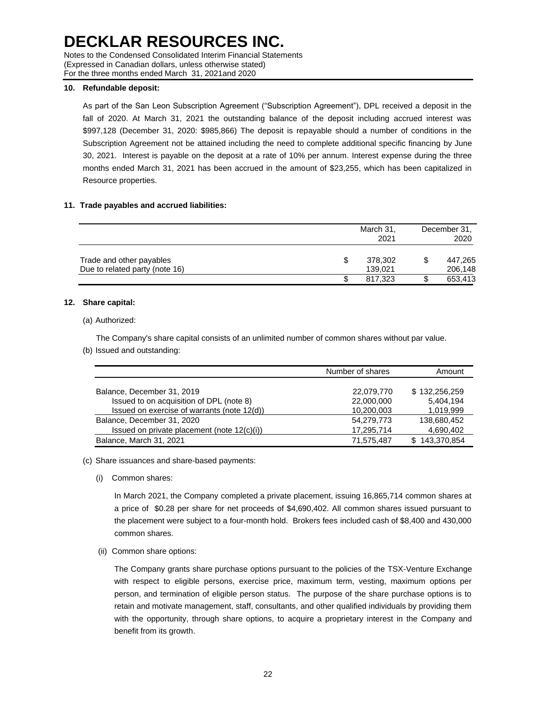Notes to the Condensed Consolidated Interim Financial Statements (Expressed in Canadian dollars, unless otherwise stated) For the three months ended March 31, 2021and 2020

### **10. Refundable deposit:**

As part of the San Leon Subscription Agreement ("Subscription Agreement"), DPL received a deposit in the fall of 2020. At March 31, 2021 the outstanding balance of the deposit including accrued interest was \$997,128 (December 31, 2020: \$985,866) The deposit is repayable should a number of conditions in the Subscription Agreement not be attained including the need to complete additional specific financing by June 30, 2021. Interest is payable on the deposit at a rate of 10% per annum. Interest expense during the three months ended March 31, 2021 has been accrued in the amount of \$23,255, which has been capitalized in Resource properties.

### **11. Trade payables and accrued liabilities:**

|                                | March 31,<br>2021 | December 31.<br>2020 |         |
|--------------------------------|-------------------|----------------------|---------|
| Trade and other payables       | \$<br>378,302     |                      | 447,265 |
| Due to related party (note 16) | 139,021           |                      | 206,148 |
|                                | \$<br>817.323     |                      | 653,413 |

### **12. Share capital:**

### (a) Authorized:

The Company's share capital consists of an unlimited number of common shares without par value. (b) Issued and outstanding:

|                                                | Number of shares | Amount        |
|------------------------------------------------|------------------|---------------|
|                                                |                  |               |
| Balance, December 31, 2019                     | 22,079,770       | \$132,256,259 |
| Issued to on acquisition of DPL (note 8)       | 22,000,000       | 5,404,194     |
| Issued on exercise of warrants (note 12(d))    | 10,200,003       | 1,019,999     |
| Balance, December 31, 2020                     | 54.279.773       | 138,680,452   |
| Issued on private placement (note $12(c)(i)$ ) | 17,295,714       | 4,690,402     |
| Balance, March 31, 2021                        | 71,575,487       | 143,370,854   |

# (c) Share issuances and share-based payments:

(i) Common shares:

In March 2021, the Company completed a private placement, issuing 16,865,714 common shares at a price of \$0.28 per share for net proceeds of \$4,690,402. All common shares issued pursuant to the placement were subject to a four-month hold. Brokers fees included cash of \$8,400 and 430,000 common shares.

(ii) Common share options:

The Company grants share purchase options pursuant to the policies of the TSX-Venture Exchange with respect to eligible persons, exercise price, maximum term, vesting, maximum options per person, and termination of eligible person status. The purpose of the share purchase options is to retain and motivate management, staff, consultants, and other qualified individuals by providing them with the opportunity, through share options, to acquire a proprietary interest in the Company and benefit from its growth.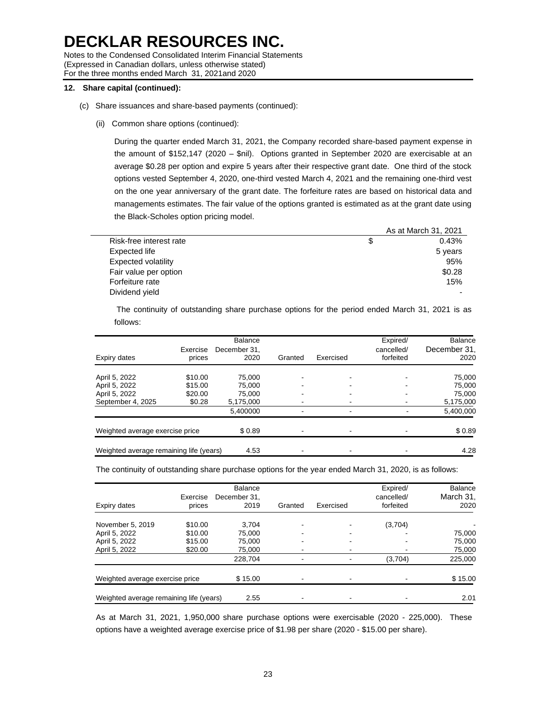Notes to the Condensed Consolidated Interim Financial Statements (Expressed in Canadian dollars, unless otherwise stated) For the three months ended March 31, 2021and 2020

## **12. Share capital (continued):**

- (c) Share issuances and share-based payments (continued):
	- (ii) Common share options (continued):

During the quarter ended March 31, 2021, the Company recorded share-based payment expense in the amount of \$152,147 (2020 – \$nil). Options granted in September 2020 are exercisable at an average \$0.28 per option and expire 5 years after their respective grant date. One third of the stock options vested September 4, 2020, one-third vested March 4, 2021 and the remaining one-third vest on the one year anniversary of the grant date. The forfeiture rates are based on historical data and managements estimates. The fair value of the options granted is estimated as at the grant date using the Black-Scholes option pricing model.

|                         | As at March 31, 2021 |
|-------------------------|----------------------|
| Risk-free interest rate | 0.43%                |
| Expected life           | 5 years              |
| Expected volatility     | 95%                  |
| Fair value per option   | \$0.28               |
| Forfeiture rate         | 15%                  |
| Dividend yield          |                      |

The continuity of outstanding share purchase options for the period ended March 31, 2021 is as follows:

| Expiry dates                            | Exercise<br>prices | <b>Balance</b><br>December 31.<br>2020 | Granted | Exercised | Expired/<br>cancelled/<br>forfeited | <b>Balance</b><br>December 31,<br>2020 |
|-----------------------------------------|--------------------|----------------------------------------|---------|-----------|-------------------------------------|----------------------------------------|
| April 5, 2022                           | \$10.00            | 75,000                                 |         |           |                                     | 75.000                                 |
| April 5, 2022                           | \$15.00            | 75,000                                 |         |           |                                     | 75.000                                 |
| April 5, 2022                           | \$20.00            | 75.000                                 |         |           |                                     | 75.000                                 |
| September 4, 2025                       | \$0.28             | 5,175,000                              |         |           |                                     | 5,175,000                              |
|                                         |                    | 5,400000                               |         |           |                                     | 5,400,000                              |
| Weighted average exercise price         |                    | \$0.89                                 |         |           |                                     | \$0.89                                 |
| Weighted average remaining life (years) |                    | 4.53                                   |         |           |                                     | 4.28                                   |

The continuity of outstanding share purchase options for the year ended March 31, 2020, is as follows:

| Expiry dates                            | Exercise<br>prices | <b>Balance</b><br>December 31.<br>2019 | Granted | Exercised | Expired/<br>cancelled/<br>forfeited | Balance<br>March 31,<br>2020 |
|-----------------------------------------|--------------------|----------------------------------------|---------|-----------|-------------------------------------|------------------------------|
| November 5, 2019                        | \$10.00            | 3.704                                  |         |           | (3,704)                             |                              |
| April 5, 2022                           | \$10.00            | 75.000                                 |         |           |                                     | 75,000                       |
| April 5, 2022                           | \$15.00            | 75.000                                 |         |           |                                     | 75.000                       |
| April 5, 2022                           | \$20.00            | 75.000                                 |         |           |                                     | 75,000                       |
|                                         |                    | 228,704                                |         |           | (3,704)                             | 225,000                      |
| Weighted average exercise price         |                    | \$15.00                                |         |           |                                     | \$15.00                      |
| Weighted average remaining life (years) |                    | 2.55                                   |         |           |                                     | 2.01                         |

As at March 31, 2021, 1,950,000 share purchase options were exercisable (2020 - 225,000). These options have a weighted average exercise price of \$1.98 per share (2020 - \$15.00 per share).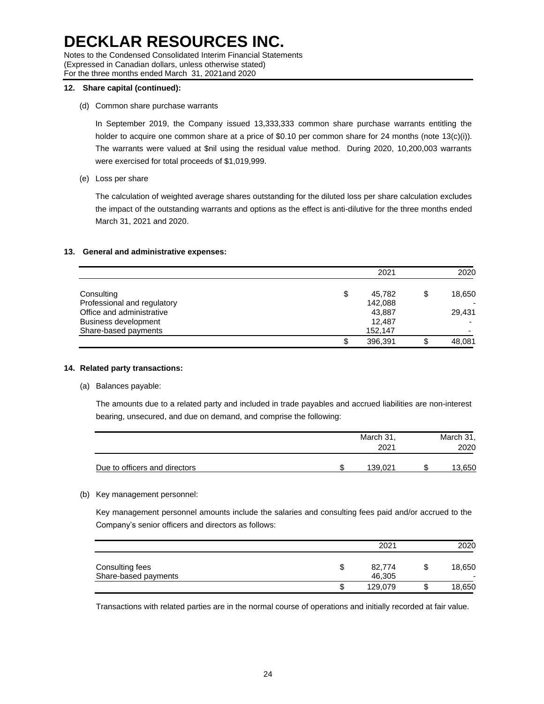Notes to the Condensed Consolidated Interim Financial Statements (Expressed in Canadian dollars, unless otherwise stated) For the three months ended March 31, 2021and 2020

# **12. Share capital (continued):**

(d) Common share purchase warrants

In September 2019, the Company issued 13,333,333 common share purchase warrants entitling the holder to acquire one common share at a price of \$0.10 per common share for 24 months (note 13(c)(i)). The warrants were valued at \$nil using the residual value method. During 2020, 10,200,003 warrants were exercised for total proceeds of \$1,019,999.

(e) Loss per share

The calculation of weighted average shares outstanding for the diluted loss per share calculation excludes the impact of the outstanding warrants and options as the effect is anti-dilutive for the three months ended March 31, 2021 and 2020.

### **13. General and administrative expenses:**

|                             | 2021          | 2020   |
|-----------------------------|---------------|--------|
| Consulting                  | \$<br>45.782  | 18,650 |
| Professional and regulatory | 142,088       |        |
| Office and administrative   | 43.887        | 29.431 |
| <b>Business development</b> | 12.487        |        |
| Share-based payments        | 152,147       |        |
|                             | \$<br>396.391 | 48,081 |

#### **14. Related party transactions:**

(a) Balances payable:

The amounts due to a related party and included in trade payables and accrued liabilities are non-interest bearing, unsecured, and due on demand, and comprise the following:

|                               | March 31,<br>2021 | March 31,<br>2020 |
|-------------------------------|-------------------|-------------------|
| Due to officers and directors | 139.021           | .650              |

#### (b) Key management personnel:

Key management personnel amounts include the salaries and consulting fees paid and/or accrued to the Company's senior officers and directors as follows:

|                                         |   | 2021             |  |             |
|-----------------------------------------|---|------------------|--|-------------|
| Consulting fees<br>Share-based payments | S | 82,774<br>46,305 |  | 18,650<br>- |
|                                         | S | 129,079          |  | 18,650      |

Transactions with related parties are in the normal course of operations and initially recorded at fair value.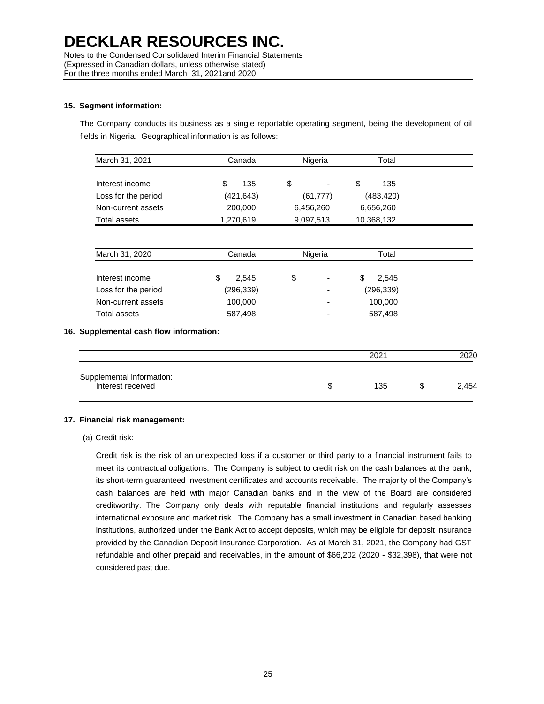Notes to the Condensed Consolidated Interim Financial Statements (Expressed in Canadian dollars, unless otherwise stated) For the three months ended March 31, 2021and 2020

### **15. Segment information:**

The Company conducts its business as a single reportable operating segment, being the development of oil fields in Nigeria. Geographical information is as follows:

| March 31, 2021      | Canada    | Nigeria   | Total      |
|---------------------|-----------|-----------|------------|
| Interest income     | 135       | \$        | 135<br>S   |
| Loss for the period | (421,643) | (61, 777) | (483, 420) |
| Non-current assets  | 200,000   | 6,456,260 | 6,656,260  |
| Total assets        | 1,270,619 | 9,097,513 | 10,368,132 |

| March 31, 2020      | Canada      | Nigeria                  | Total      |
|---------------------|-------------|--------------------------|------------|
| Interest income     | \$<br>2.545 | \$<br>٠                  | 2.545      |
| Loss for the period | (296, 339)  | ۰                        | (296, 339) |
| Non-current assets  | 100,000     | $\overline{\phantom{0}}$ | 100,000    |
| Total assets        | 587,498     | $\overline{\phantom{0}}$ | 587,498    |

### **16. Supplemental cash flow information:**

|                                                | 2021 |    |       |
|------------------------------------------------|------|----|-------|
| Supplemental information:<br>Interest received | 135  | J. | 2.454 |

# **17. Financial risk management:**

(a) Credit risk:

Credit risk is the risk of an unexpected loss if a customer or third party to a financial instrument fails to meet its contractual obligations. The Company is subject to credit risk on the cash balances at the bank, its short-term guaranteed investment certificates and accounts receivable. The majority of the Company's cash balances are held with major Canadian banks and in the view of the Board are considered creditworthy. The Company only deals with reputable financial institutions and regularly assesses international exposure and market risk. The Company has a small investment in Canadian based banking institutions, authorized under the Bank Act to accept deposits, which may be eligible for deposit insurance provided by the Canadian Deposit Insurance Corporation. As at March 31, 2021, the Company had GST refundable and other prepaid and receivables, in the amount of \$66,202 (2020 - \$32,398), that were not considered past due.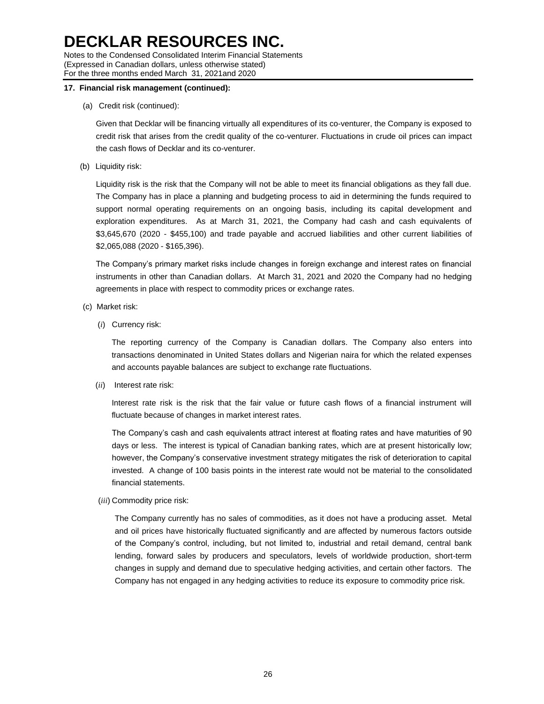Notes to the Condensed Consolidated Interim Financial Statements (Expressed in Canadian dollars, unless otherwise stated) For the three months ended March 31, 2021and 2020

### **17. Financial risk management (continued):**

(a) Credit risk (continued):

Given that Decklar will be financing virtually all expenditures of its co-venturer, the Company is exposed to credit risk that arises from the credit quality of the co-venturer. Fluctuations in crude oil prices can impact the cash flows of Decklar and its co-venturer.

(b) Liquidity risk:

Liquidity risk is the risk that the Company will not be able to meet its financial obligations as they fall due. The Company has in place a planning and budgeting process to aid in determining the funds required to support normal operating requirements on an ongoing basis, including its capital development and exploration expenditures. As at March 31, 2021, the Company had cash and cash equivalents of \$3,645,670 (2020 - \$455,100) and trade payable and accrued liabilities and other current liabilities of \$2,065,088 (2020 - \$165,396).

The Company's primary market risks include changes in foreign exchange and interest rates on financial instruments in other than Canadian dollars. At March 31, 2021 and 2020 the Company had no hedging agreements in place with respect to commodity prices or exchange rates.

- (c) Market risk:
	- (*i*) Currency risk:

The reporting currency of the Company is Canadian dollars. The Company also enters into transactions denominated in United States dollars and Nigerian naira for which the related expenses and accounts payable balances are subject to exchange rate fluctuations.

(*ii*) Interest rate risk:

Interest rate risk is the risk that the fair value or future cash flows of a financial instrument will fluctuate because of changes in market interest rates.

The Company's cash and cash equivalents attract interest at floating rates and have maturities of 90 days or less. The interest is typical of Canadian banking rates, which are at present historically low; however, the Company's conservative investment strategy mitigates the risk of deterioration to capital invested. A change of 100 basis points in the interest rate would not be material to the consolidated financial statements.

(*iii*) Commodity price risk:

The Company currently has no sales of commodities, as it does not have a producing asset. Metal and oil prices have historically fluctuated significantly and are affected by numerous factors outside of the Company's control, including, but not limited to, industrial and retail demand, central bank lending, forward sales by producers and speculators, levels of worldwide production, short-term changes in supply and demand due to speculative hedging activities, and certain other factors. The Company has not engaged in any hedging activities to reduce its exposure to commodity price risk.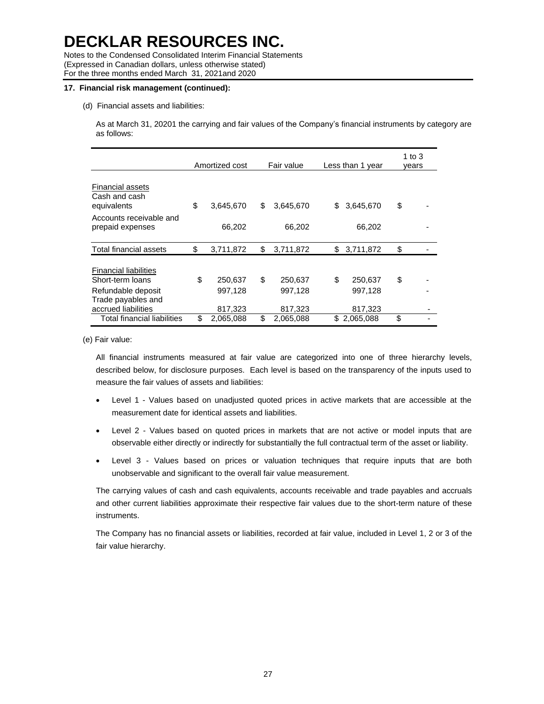Notes to the Condensed Consolidated Interim Financial Statements (Expressed in Canadian dollars, unless otherwise stated) For the three months ended March 31, 2021and 2020

### **17. Financial risk management (continued):**

(d) Financial assets and liabilities:

As at March 31, 20201 the carrying and fair values of the Company's financial instruments by category are as follows:

|                                                                                                                     | Amortized cost                      | Fair value                          |     | Less than 1 year              |    | 1 to $3$<br>vears |
|---------------------------------------------------------------------------------------------------------------------|-------------------------------------|-------------------------------------|-----|-------------------------------|----|-------------------|
| <b>Financial assets</b><br>Cash and cash<br>equivalents                                                             | \$<br>3,645,670                     | \$<br>3,645,670                     | \$  | 3,645,670                     | \$ |                   |
| Accounts receivable and<br>prepaid expenses                                                                         | 66,202                              | 66,202                              |     | 66,202                        |    |                   |
| Total financial assets                                                                                              | \$<br>3,711,872                     | \$<br>3,711,872                     | S   | 3,711,872                     | \$ |                   |
| <b>Financial liabilities</b><br>Short-term loans<br>Refundable deposit<br>Trade payables and<br>accrued liabilities | \$<br>250,637<br>997,128<br>817,323 | \$<br>250,637<br>997,128<br>817,323 | \$  | 250,637<br>997,128<br>817,323 | \$ |                   |
| Total financial liabilities                                                                                         | \$<br>2,065,088                     | \$<br>2,065,088                     | \$. | 2,065,088                     | \$ |                   |

(e) Fair value:

All financial instruments measured at fair value are categorized into one of three hierarchy levels, described below, for disclosure purposes. Each level is based on the transparency of the inputs used to measure the fair values of assets and liabilities:

- Level 1 Values based on unadjusted quoted prices in active markets that are accessible at the measurement date for identical assets and liabilities.
- Level 2 Values based on quoted prices in markets that are not active or model inputs that are observable either directly or indirectly for substantially the full contractual term of the asset or liability.
- Level 3 Values based on prices or valuation techniques that require inputs that are both unobservable and significant to the overall fair value measurement.

The carrying values of cash and cash equivalents, accounts receivable and trade payables and accruals and other current liabilities approximate their respective fair values due to the short-term nature of these instruments.

The Company has no financial assets or liabilities, recorded at fair value, included in Level 1, 2 or 3 of the fair value hierarchy.